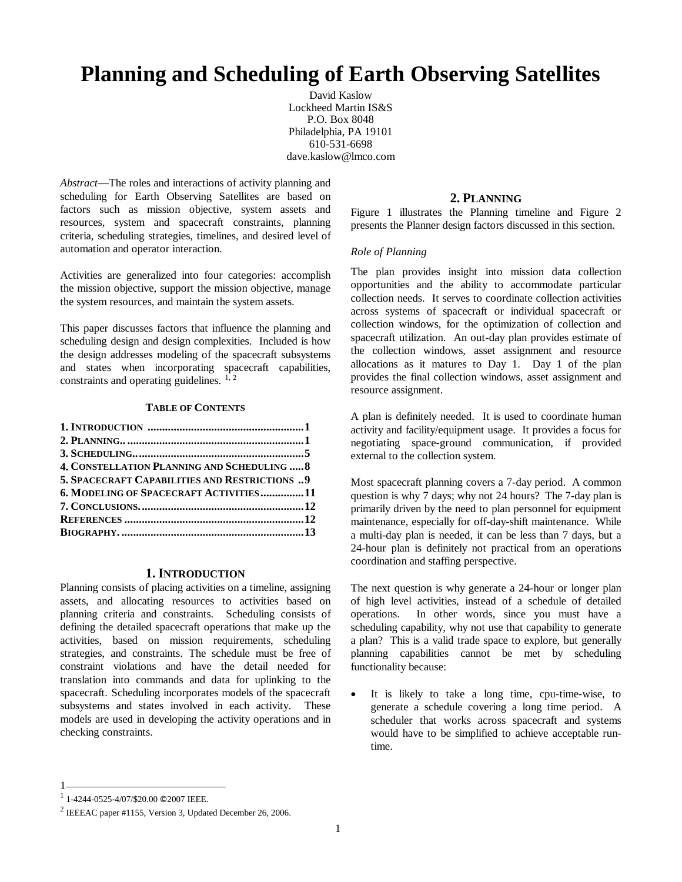# **Planning and Scheduling of Earth Observing Satellites**

David Kaslow Lockheed Martin IS&S P.O. Box 8048 Philadelphia, PA 19101 610-531-6698 dave.kaslow@lmco.com

*Abstract*—The roles and interactions of activity planning and scheduling for Earth Observing Satellites are based on factors such as mission objective, system assets and resources, system and spacecraft constraints, planning criteria, scheduling strategies, timelines, and desired level of automation and operator interaction.

Activities are generalized into four categories: accomplish the mission objective, support the mission objective, manage the system resources, and maintain the system assets.

This paper discusses factors that influence the planning and scheduling design and design complexities. Included is how the design addresses modeling of the spacecraft subsystems and states when incorporating spacecraft capabilities, constraints and operating guidelines.  $1, 2$  $1, 2$  $1, 2$ 

#### **TABLE OF CONTENTS**

| <b>4. CONSTELLATION PLANNING AND SCHEDULING  8</b>                                             |  |
|------------------------------------------------------------------------------------------------|--|
| 5. SPACECRAFT CAPABILITIES AND RESTRICTIONS 9<br><b>6. MODELING OF SPACECRAFT ACTIVITIES11</b> |  |
|                                                                                                |  |
|                                                                                                |  |
|                                                                                                |  |
|                                                                                                |  |
|                                                                                                |  |

#### **1. INTRODUCTION**

Planning consists of placing activities on a timeline, assigning assets, and allocating resources to activities based on planning criteria and constraints. Scheduling consists of defining the detailed spacecraft operations that make up the activities, based on mission requirements, scheduling strategies, and constraints. The schedule must be free of constraint violations and have the detail needed for translation into commands and data for uplinking to the spacecraft. Scheduling incorporates models of the spacecraft subsystems and states involved in each activity. These models are used in developing the activity operations and in checking constraints.

# **2. PLANNING**

Figure 1 illustrates the Planning timeline and Figure 2 presents the Planner design factors discussed in this section.

#### *Role of Planning*

The plan provides insight into mission data collection opportunities and the ability to accommodate particular collection needs. It serves to coordinate collection activities across systems of spacecraft or individual spacecraft or collection windows, for the optimization of collection and spacecraft utilization. An out-day plan provides estimate of the collection windows, asset assignment and resource allocations as it matures to Day 1. Day 1 of the plan provides the final collection windows, asset assignment and resource assignment.

A plan is definitely needed. It is used to coordinate human activity and facility/equipment usage. It provides a focus for negotiating space-ground communication, if provided external to the collection system.

Most spacecraft planning covers a 7-day period. A common question is why 7 days; why not 24 hours? The 7-day plan is primarily driven by the need to plan personnel for equipment maintenance, especially for off-day-shift maintenance. While a multi-day plan is needed, it can be less than 7 days, but a 24-hour plan is definitely not practical from an operations coordination and staffing perspective.

The next question is why generate a 24-hour or longer plan of high level activities, instead of a schedule of detailed operations. In other words, since you must have a scheduling capability, why not use that capability to generate a plan? This is a valid trade space to explore, but generally planning capabilities cannot be met by scheduling functionality because:

It is likely to take a long time, cpu-time-wise, to generate a schedule covering a long time period. A scheduler that works across spacecraft and systems would have to be simplified to achieve acceptable runtime.

<span id="page-0-0"></span> $1$  1-4244-0525-4/07/\$20.00 ©2007 IEEE.

<span id="page-0-1"></span> $2$  IEEEAC paper #1155, Version 3, Updated December 26, 2006.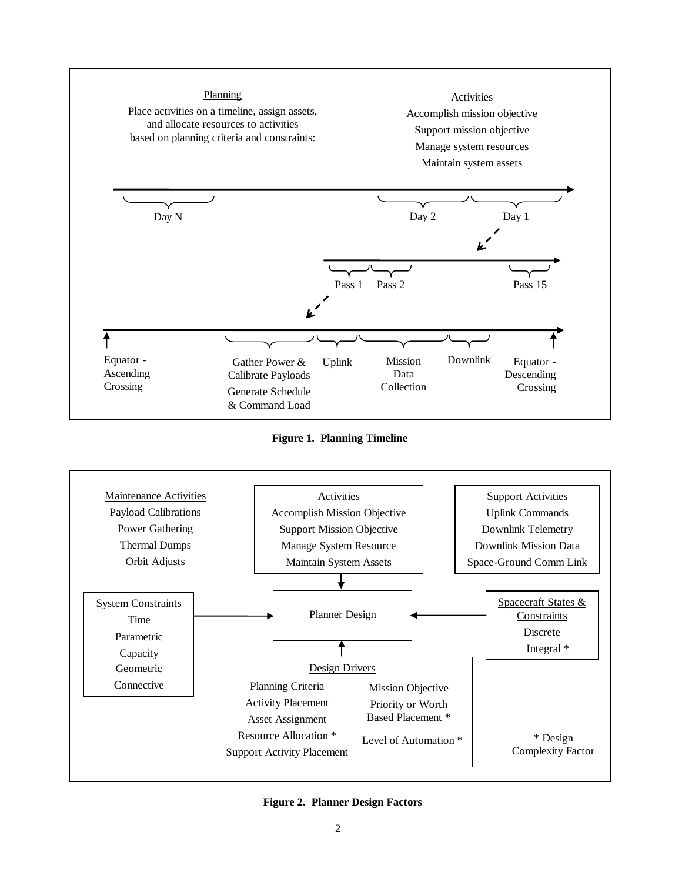





**Figure 2. Planner Design Factors**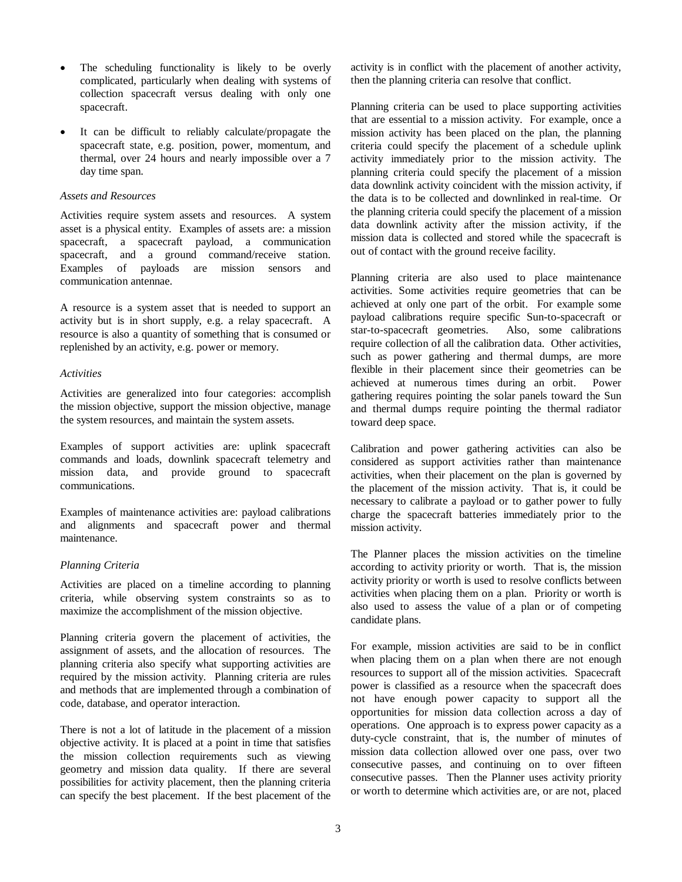- The scheduling functionality is likely to be overly complicated, particularly when dealing with systems of collection spacecraft versus dealing with only one spacecraft.
- It can be difficult to reliably calculate/propagate the spacecraft state, e.g. position, power, momentum, and thermal, over 24 hours and nearly impossible over a 7 day time span.

# *Assets and Resources*

Activities require system assets and resources. A system asset is a physical entity. Examples of assets are: a mission spacecraft, a spacecraft payload, a communication spacecraft, and a ground command/receive station. Examples of payloads are mission sensors and communication antennae.

A resource is a system asset that is needed to support an activity but is in short supply, e.g. a relay spacecraft. A resource is also a quantity of something that is consumed or replenished by an activity, e.g. power or memory.

#### *Activities*

Activities are generalized into four categories: accomplish the mission objective, support the mission objective, manage the system resources, and maintain the system assets.

Examples of support activities are: uplink spacecraft commands and loads, downlink spacecraft telemetry and mission data, and provide ground to spacecraft communications.

Examples of maintenance activities are: payload calibrations and alignments and spacecraft power and thermal maintenance.

# *Planning Criteria*

Activities are placed on a timeline according to planning criteria, while observing system constraints so as to maximize the accomplishment of the mission objective.

Planning criteria govern the placement of activities, the assignment of assets, and the allocation of resources. The planning criteria also specify what supporting activities are required by the mission activity. Planning criteria are rules and methods that are implemented through a combination of code, database, and operator interaction.

There is not a lot of latitude in the placement of a mission objective activity. It is placed at a point in time that satisfies the mission collection requirements such as viewing geometry and mission data quality. If there are several possibilities for activity placement, then the planning criteria can specify the best placement. If the best placement of the

activity is in conflict with the placement of another activity, then the planning criteria can resolve that conflict.

Planning criteria can be used to place supporting activities that are essential to a mission activity. For example, once a mission activity has been placed on the plan, the planning criteria could specify the placement of a schedule uplink activity immediately prior to the mission activity. The planning criteria could specify the placement of a mission data downlink activity coincident with the mission activity, if the data is to be collected and downlinked in real-time. Or the planning criteria could specify the placement of a mission data downlink activity after the mission activity, if the mission data is collected and stored while the spacecraft is out of contact with the ground receive facility.

Planning criteria are also used to place maintenance activities. Some activities require geometries that can be achieved at only one part of the orbit. For example some payload calibrations require specific Sun-to-spacecraft or star-to-spacecraft geometries. Also, some calibrations star-to-spacecraft geometries. require collection of all the calibration data. Other activities, such as power gathering and thermal dumps, are more flexible in their placement since their geometries can be achieved at numerous times during an orbit. Power gathering requires pointing the solar panels toward the Sun and thermal dumps require pointing the thermal radiator toward deep space.

Calibration and power gathering activities can also be considered as support activities rather than maintenance activities, when their placement on the plan is governed by the placement of the mission activity. That is, it could be necessary to calibrate a payload or to gather power to fully charge the spacecraft batteries immediately prior to the mission activity.

The Planner places the mission activities on the timeline according to activity priority or worth. That is, the mission activity priority or worth is used to resolve conflicts between activities when placing them on a plan. Priority or worth is also used to assess the value of a plan or of competing candidate plans.

For example, mission activities are said to be in conflict when placing them on a plan when there are not enough resources to support all of the mission activities. Spacecraft power is classified as a resource when the spacecraft does not have enough power capacity to support all the opportunities for mission data collection across a day of operations. One approach is to express power capacity as a duty-cycle constraint, that is, the number of minutes of mission data collection allowed over one pass, over two consecutive passes, and continuing on to over fifteen consecutive passes. Then the Planner uses activity priority or worth to determine which activities are, or are not, placed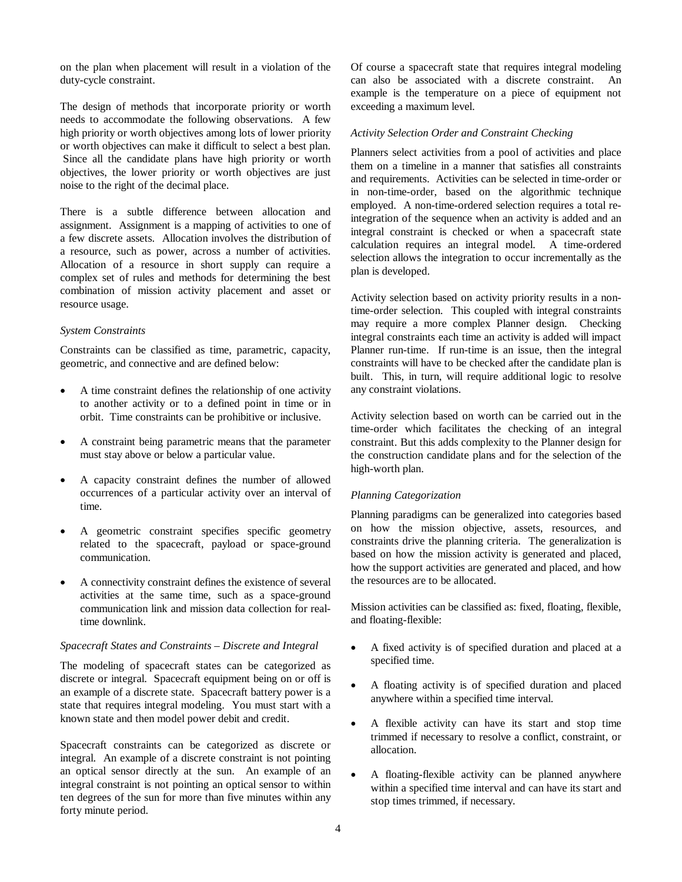on the plan when placement will result in a violation of the duty-cycle constraint.

The design of methods that incorporate priority or worth needs to accommodate the following observations. A few high priority or worth objectives among lots of lower priority or worth objectives can make it difficult to select a best plan. Since all the candidate plans have high priority or worth objectives, the lower priority or worth objectives are just noise to the right of the decimal place.

There is a subtle difference between allocation and assignment. Assignment is a mapping of activities to one of a few discrete assets. Allocation involves the distribution of a resource, such as power, across a number of activities. Allocation of a resource in short supply can require a complex set of rules and methods for determining the best combination of mission activity placement and asset or resource usage.

# *System Constraints*

Constraints can be classified as time, parametric, capacity, geometric, and connective and are defined below:

- A time constraint defines the relationship of one activity to another activity or to a defined point in time or in orbit. Time constraints can be prohibitive or inclusive.
- A constraint being parametric means that the parameter must stay above or below a particular value.
- A capacity constraint defines the number of allowed occurrences of a particular activity over an interval of time.
- A geometric constraint specifies specific geometry related to the spacecraft, payload or space-ground communication.
- A connectivity constraint defines the existence of several activities at the same time, such as a space-ground communication link and mission data collection for realtime downlink.

# *Spacecraft States and Constraints – Discrete and Integral*

The modeling of spacecraft states can be categorized as discrete or integral. Spacecraft equipment being on or off is an example of a discrete state. Spacecraft battery power is a state that requires integral modeling. You must start with a known state and then model power debit and credit.

Spacecraft constraints can be categorized as discrete or integral. An example of a discrete constraint is not pointing an optical sensor directly at the sun. An example of an integral constraint is not pointing an optical sensor to within ten degrees of the sun for more than five minutes within any forty minute period.

Of course a spacecraft state that requires integral modeling can also be associated with a discrete constraint. An example is the temperature on a piece of equipment not exceeding a maximum level.

#### *Activity Selection Order and Constraint Checking*

Planners select activities from a pool of activities and place them on a timeline in a manner that satisfies all constraints and requirements. Activities can be selected in time-order or in non-time-order, based on the algorithmic technique employed. A non-time-ordered selection requires a total reintegration of the sequence when an activity is added and an integral constraint is checked or when a spacecraft state calculation requires an integral model. A time-ordered selection allows the integration to occur incrementally as the plan is developed.

Activity selection based on activity priority results in a nontime-order selection. This coupled with integral constraints may require a more complex Planner design. Checking integral constraints each time an activity is added will impact Planner run-time. If run-time is an issue, then the integral constraints will have to be checked after the candidate plan is built. This, in turn, will require additional logic to resolve any constraint violations.

Activity selection based on worth can be carried out in the time-order which facilitates the checking of an integral constraint. But this adds complexity to the Planner design for the construction candidate plans and for the selection of the high-worth plan.

# *Planning Categorization*

Planning paradigms can be generalized into categories based on how the mission objective, assets, resources, and constraints drive the planning criteria. The generalization is based on how the mission activity is generated and placed, how the support activities are generated and placed, and how the resources are to be allocated.

Mission activities can be classified as: fixed, floating, flexible, and floating-flexible:

- A fixed activity is of specified duration and placed at a specified time.
- A floating activity is of specified duration and placed anywhere within a specified time interval.
- A flexible activity can have its start and stop time trimmed if necessary to resolve a conflict, constraint, or allocation.
- A floating-flexible activity can be planned anywhere within a specified time interval and can have its start and stop times trimmed, if necessary.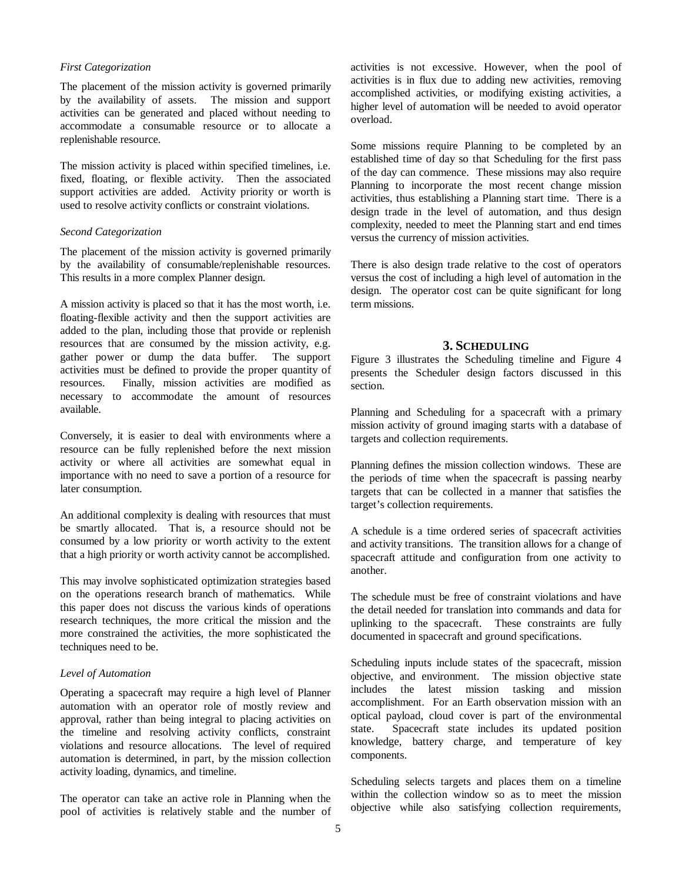#### *First Categorization*

The placement of the mission activity is governed primarily by the availability of assets. The mission and support activities can be generated and placed without needing to accommodate a consumable resource or to allocate a replenishable resource.

The mission activity is placed within specified timelines, i.e. fixed, floating, or flexible activity. Then the associated support activities are added. Activity priority or worth is used to resolve activity conflicts or constraint violations.

#### *Second Categorization*

The placement of the mission activity is governed primarily by the availability of consumable/replenishable resources. This results in a more complex Planner design.

A mission activity is placed so that it has the most worth, i.e. floating-flexible activity and then the support activities are added to the plan, including those that provide or replenish resources that are consumed by the mission activity, e.g. gather power or dump the data buffer. The support activities must be defined to provide the proper quantity of resources. Finally, mission activities are modified as necessary to accommodate the amount of resources available.

Conversely, it is easier to deal with environments where a resource can be fully replenished before the next mission activity or where all activities are somewhat equal in importance with no need to save a portion of a resource for later consumption.

An additional complexity is dealing with resources that must be smartly allocated. That is, a resource should not be consumed by a low priority or worth activity to the extent that a high priority or worth activity cannot be accomplished.

This may involve sophisticated optimization strategies based on the operations research branch of mathematics. While this paper does not discuss the various kinds of operations research techniques, the more critical the mission and the more constrained the activities, the more sophisticated the techniques need to be.

#### *Level of Automation*

Operating a spacecraft may require a high level of Planner automation with an operator role of mostly review and approval, rather than being integral to placing activities on the timeline and resolving activity conflicts, constraint violations and resource allocations. The level of required automation is determined, in part, by the mission collection activity loading, dynamics, and timeline.

The operator can take an active role in Planning when the pool of activities is relatively stable and the number of activities is not excessive. However, when the pool of activities is in flux due to adding new activities, removing accomplished activities, or modifying existing activities, a higher level of automation will be needed to avoid operator overload.

Some missions require Planning to be completed by an established time of day so that Scheduling for the first pass of the day can commence. These missions may also require Planning to incorporate the most recent change mission activities, thus establishing a Planning start time. There is a design trade in the level of automation, and thus design complexity, needed to meet the Planning start and end times versus the currency of mission activities.

There is also design trade relative to the cost of operators versus the cost of including a high level of automation in the design. The operator cost can be quite significant for long term missions.

# **3. SCHEDULING**

Figure 3 illustrates the Scheduling timeline and Figure 4 presents the Scheduler design factors discussed in this section.

Planning and Scheduling for a spacecraft with a primary mission activity of ground imaging starts with a database of targets and collection requirements.

Planning defines the mission collection windows. These are the periods of time when the spacecraft is passing nearby targets that can be collected in a manner that satisfies the target's collection requirements.

A schedule is a time ordered series of spacecraft activities and activity transitions. The transition allows for a change of spacecraft attitude and configuration from one activity to another.

The schedule must be free of constraint violations and have the detail needed for translation into commands and data for uplinking to the spacecraft. These constraints are fully documented in spacecraft and ground specifications.

Scheduling inputs include states of the spacecraft, mission objective, and environment. The mission objective state includes the latest mission tasking and mission accomplishment. For an Earth observation mission with an optical payload, cloud cover is part of the environmental state. Spacecraft state includes its updated position knowledge, battery charge, and temperature of key components.

Scheduling selects targets and places them on a timeline within the collection window so as to meet the mission objective while also satisfying collection requirements,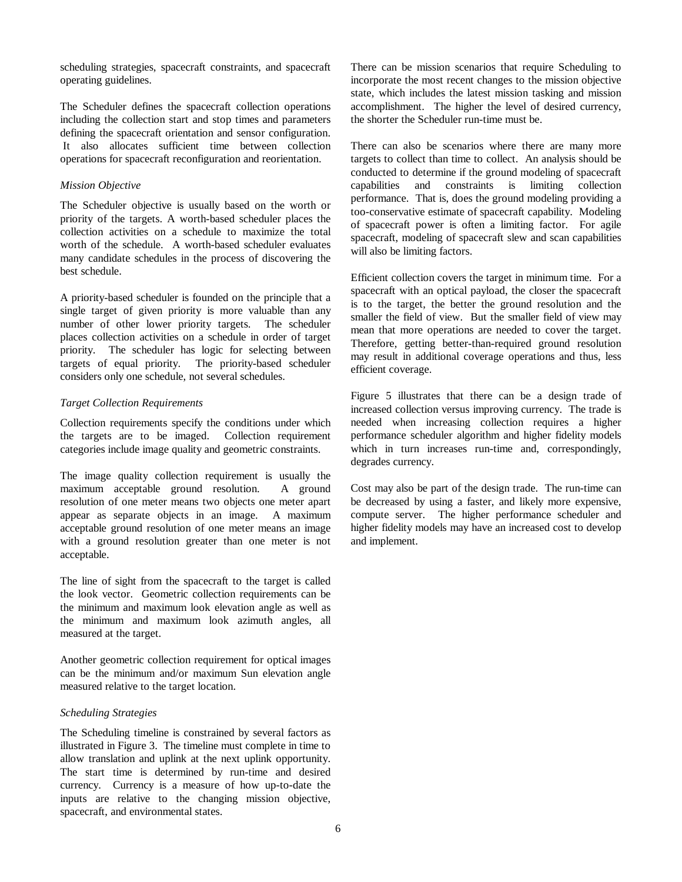scheduling strategies, spacecraft constraints, and spacecraft operating guidelines.

The Scheduler defines the spacecraft collection operations including the collection start and stop times and parameters defining the spacecraft orientation and sensor configuration. It also allocates sufficient time between collection operations for spacecraft reconfiguration and reorientation.

#### *Mission Objective*

The Scheduler objective is usually based on the worth or priority of the targets. A worth-based scheduler places the collection activities on a schedule to maximize the total worth of the schedule. A worth-based scheduler evaluates many candidate schedules in the process of discovering the best schedule.

A priority-based scheduler is founded on the principle that a single target of given priority is more valuable than any number of other lower priority targets. The scheduler places collection activities on a schedule in order of target priority. The scheduler has logic for selecting between targets of equal priority. The priority-based scheduler considers only one schedule, not several schedules.

# *Target Collection Requirements*

Collection requirements specify the conditions under which the targets are to be imaged. Collection requirement categories include image quality and geometric constraints.

The image quality collection requirement is usually the maximum acceptable ground resolution. A ground resolution of one meter means two objects one meter apart appear as separate objects in an image. A maximum acceptable ground resolution of one meter means an image with a ground resolution greater than one meter is not acceptable.

The line of sight from the spacecraft to the target is called the look vector. Geometric collection requirements can be the minimum and maximum look elevation angle as well as the minimum and maximum look azimuth angles, all measured at the target.

Another geometric collection requirement for optical images can be the minimum and/or maximum Sun elevation angle measured relative to the target location.

# *Scheduling Strategies*

The Scheduling timeline is constrained by several factors as illustrated in Figure 3. The timeline must complete in time to allow translation and uplink at the next uplink opportunity. The start time is determined by run-time and desired currency. Currency is a measure of how up-to-date the inputs are relative to the changing mission objective, spacecraft, and environmental states.

There can be mission scenarios that require Scheduling to incorporate the most recent changes to the mission objective state, which includes the latest mission tasking and mission accomplishment. The higher the level of desired currency, the shorter the Scheduler run-time must be.

There can also be scenarios where there are many more targets to collect than time to collect. An analysis should be conducted to determine if the ground modeling of spacecraft capabilities and constraints is limiting collection performance. That is, does the ground modeling providing a too-conservative estimate of spacecraft capability. Modeling of spacecraft power is often a limiting factor. For agile spacecraft, modeling of spacecraft slew and scan capabilities will also be limiting factors.

Efficient collection covers the target in minimum time*.* For a spacecraft with an optical payload, the closer the spacecraft is to the target, the better the ground resolution and the smaller the field of view. But the smaller field of view may mean that more operations are needed to cover the target. Therefore, getting better-than-required ground resolution may result in additional coverage operations and thus, less efficient coverage.

Figure 5 illustrates that there can be a design trade of increased collection versus improving currency. The trade is needed when increasing collection requires a higher performance scheduler algorithm and higher fidelity models which in turn increases run-time and, correspondingly, degrades currency.

Cost may also be part of the design trade. The run-time can be decreased by using a faster, and likely more expensive, compute server. The higher performance scheduler and higher fidelity models may have an increased cost to develop and implement.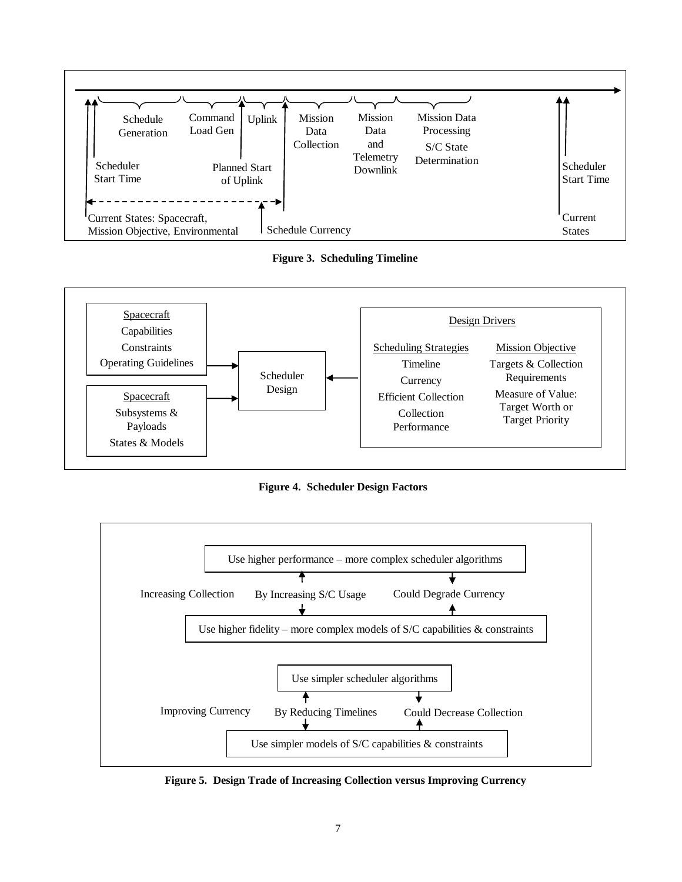

**Figure 3. Scheduling Timeline**



**Figure 4. Scheduler Design Factors**



**Figure 5. Design Trade of Increasing Collection versus Improving Currency**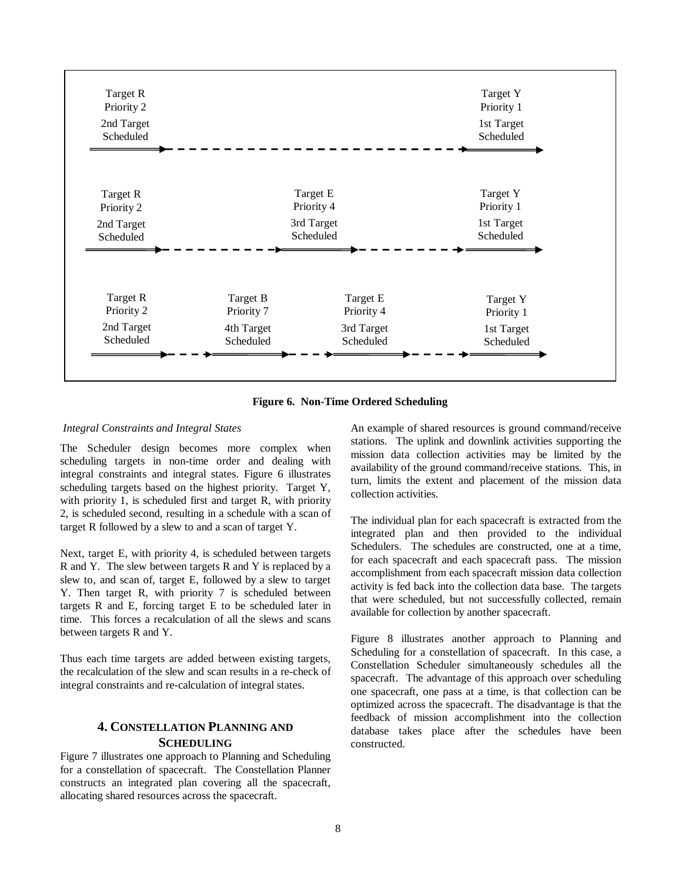

**Figure 6. Non-Time Ordered Scheduling**

#### *Integral Constraints and Integral States*

The Scheduler design becomes more complex when scheduling targets in non-time order and dealing with integral constraints and integral states. Figure 6 illustrates scheduling targets based on the highest priority. Target Y, with priority 1, is scheduled first and target R, with priority 2, is scheduled second, resulting in a schedule with a scan of target R followed by a slew to and a scan of target Y.

Next, target E, with priority 4, is scheduled between targets R and Y. The slew between targets R and Y is replaced by a slew to, and scan of, target E, followed by a slew to target Y. Then target R, with priority 7 is scheduled between targets R and E, forcing target E to be scheduled later in time. This forces a recalculation of all the slews and scans between targets R and Y.

Thus each time targets are added between existing targets, the recalculation of the slew and scan results in a re-check of integral constraints and re-calculation of integral states.

# **4. CONSTELLATION PLANNING AND SCHEDULING**

Figure 7 illustrates one approach to Planning and Scheduling for a constellation of spacecraft. The Constellation Planner constructs an integrated plan covering all the spacecraft, allocating shared resources across the spacecraft.

An example of shared resources is ground command/receive stations. The uplink and downlink activities supporting the mission data collection activities may be limited by the availability of the ground command/receive stations. This, in turn, limits the extent and placement of the mission data collection activities.

The individual plan for each spacecraft is extracted from the integrated plan and then provided to the individual Schedulers. The schedules are constructed, one at a time, for each spacecraft and each spacecraft pass. The mission accomplishment from each spacecraft mission data collection activity is fed back into the collection data base. The targets that were scheduled, but not successfully collected, remain available for collection by another spacecraft.

Figure 8 illustrates another approach to Planning and Scheduling for a constellation of spacecraft. In this case, a Constellation Scheduler simultaneously schedules all the spacecraft. The advantage of this approach over scheduling one spacecraft, one pass at a time, is that collection can be optimized across the spacecraft. The disadvantage is that the feedback of mission accomplishment into the collection database takes place after the schedules have been constructed.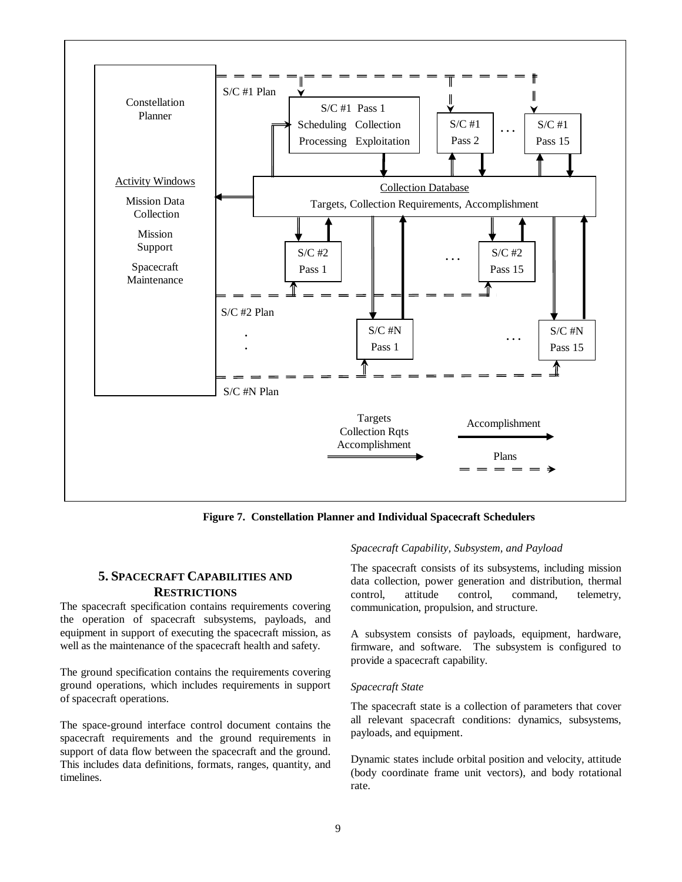

**Figure 7. Constellation Planner and Individual Spacecraft Schedulers**

# **5. SPACECRAFT CAPABILITIES AND RESTRICTIONS**

The spacecraft specification contains requirements covering the operation of spacecraft subsystems, payloads, and equipment in support of executing the spacecraft mission, as well as the maintenance of the spacecraft health and safety.

The ground specification contains the requirements covering ground operations, which includes requirements in support of spacecraft operations.

The space-ground interface control document contains the spacecraft requirements and the ground requirements in support of data flow between the spacecraft and the ground. This includes data definitions, formats, ranges, quantity, and timelines.

#### *Spacecraft Capability, Subsystem, and Payload*

The spacecraft consists of its subsystems, including mission data collection, power generation and distribution, thermal control, attitude control, command, telemetry, communication, propulsion, and structure.

A subsystem consists of payloads, equipment, hardware, firmware, and software. The subsystem is configured to provide a spacecraft capability.

#### *Spacecraft State*

The spacecraft state is a collection of parameters that cover all relevant spacecraft conditions: dynamics, subsystems, payloads, and equipment.

Dynamic states include orbital position and velocity, attitude (body coordinate frame unit vectors), and body rotational rate.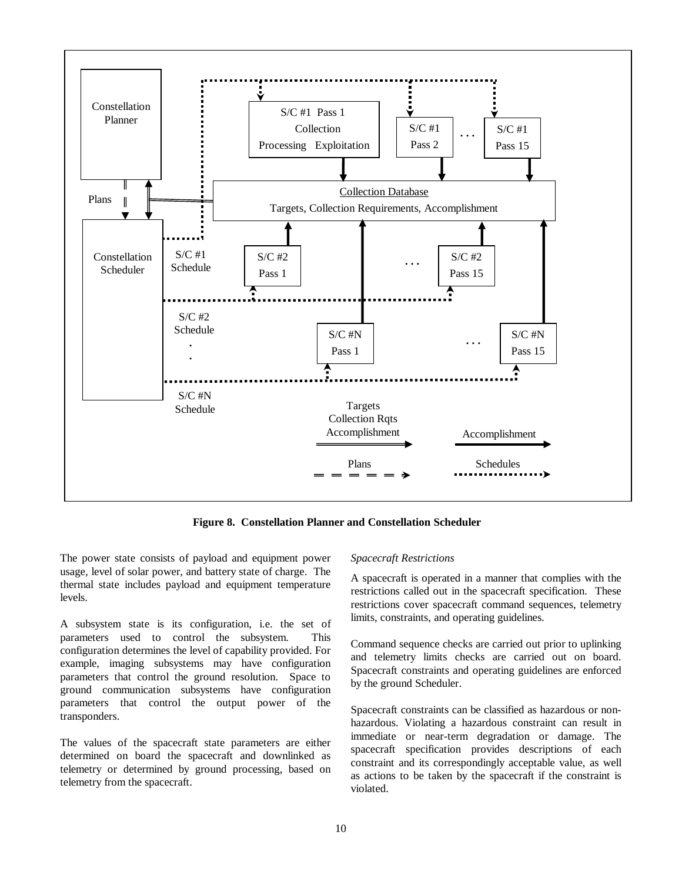

**Figure 8. Constellation Planner and Constellation Scheduler**

The power state consists of payload and equipment power usage, level of solar power, and battery state of charge. The thermal state includes payload and equipment temperature levels.

A subsystem state is its configuration, i.e. the set of parameters used to control the subsystem. This configuration determines the level of capability provided. For example, imaging subsystems may have configuration parameters that control the ground resolution. Space to ground communication subsystems have configuration parameters that control the output power of the transponders.

The values of the spacecraft state parameters are either determined on board the spacecraft and downlinked as telemetry or determined by ground processing, based on telemetry from the spacecraft.

#### *Spacecraft Restrictions*

A spacecraft is operated in a manner that complies with the restrictions called out in the spacecraft specification. These restrictions cover spacecraft command sequences, telemetry limits, constraints, and operating guidelines.

Command sequence checks are carried out prior to uplinking and telemetry limits checks are carried out on board. Spacecraft constraints and operating guidelines are enforced by the ground Scheduler.

Spacecraft constraints can be classified as hazardous or nonhazardous. Violating a hazardous constraint can result in immediate or near-term degradation or damage. The spacecraft specification provides descriptions of each constraint and its correspondingly acceptable value, as well as actions to be taken by the spacecraft if the constraint is violated.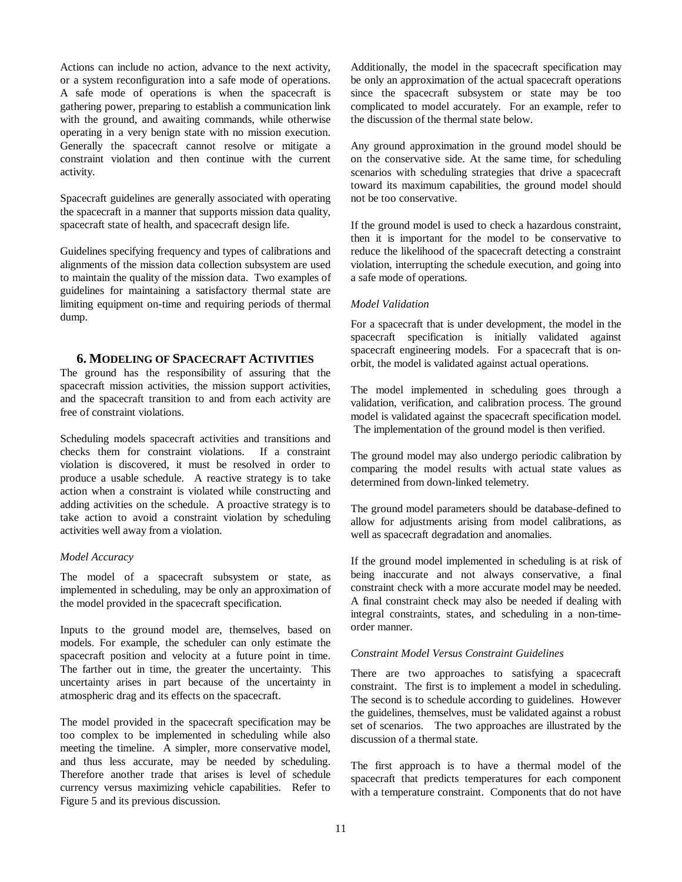Actions can include no action, advance to the next activity, or a system reconfiguration into a safe mode of operations. A safe mode of operations is when the spacecraft is gathering power, preparing to establish a communication link with the ground, and awaiting commands, while otherwise operating in a very benign state with no mission execution. Generally the spacecraft cannot resolve or mitigate a constraint violation and then continue with the current activity.

Spacecraft guidelines are generally associated with operating the spacecraft in a manner that supports mission data quality, spacecraft state of health, and spacecraft design life.

Guidelines specifying frequency and types of calibrations and alignments of the mission data collection subsystem are used to maintain the quality of the mission data. Two examples of guidelines for maintaining a satisfactory thermal state are limiting equipment on-time and requiring periods of thermal dump.

# **6. MODELING OF SPACECRAFT ACTIVITIES**

The ground has the responsibility of assuring that the spacecraft mission activities, the mission support activities, and the spacecraft transition to and from each activity are free of constraint violations.

Scheduling models spacecraft activities and transitions and checks them for constraint violations. If a constraint violation is discovered, it must be resolved in order to produce a usable schedule. A reactive strategy is to take action when a constraint is violated while constructing and adding activities on the schedule. A proactive strategy is to take action to avoid a constraint violation by scheduling activities well away from a violation.

# *Model Accuracy*

The model of a spacecraft subsystem or state, as implemented in scheduling, may be only an approximation of the model provided in the spacecraft specification.

Inputs to the ground model are, themselves, based on models. For example, the scheduler can only estimate the spacecraft position and velocity at a future point in time. The farther out in time, the greater the uncertainty. This uncertainty arises in part because of the uncertainty in atmospheric drag and its effects on the spacecraft.

The model provided in the spacecraft specification may be too complex to be implemented in scheduling while also meeting the timeline. A simpler, more conservative model, and thus less accurate, may be needed by scheduling. Therefore another trade that arises is level of schedule currency versus maximizing vehicle capabilities. Refer to Figure 5 and its previous discussion.

Additionally, the model in the spacecraft specification may be only an approximation of the actual spacecraft operations since the spacecraft subsystem or state may be too complicated to model accurately. For an example, refer to the discussion of the thermal state below.

Any ground approximation in the ground model should be on the conservative side. At the same time, for scheduling scenarios with scheduling strategies that drive a spacecraft toward its maximum capabilities, the ground model should not be too conservative.

If the ground model is used to check a hazardous constraint, then it is important for the model to be conservative to reduce the likelihood of the spacecraft detecting a constraint violation, interrupting the schedule execution, and going into a safe mode of operations.

#### *Model Validation*

For a spacecraft that is under development, the model in the spacecraft specification is initially validated against spacecraft engineering models. For a spacecraft that is onorbit, the model is validated against actual operations.

The model implemented in scheduling goes through a validation, verification, and calibration process. The ground model is validated against the spacecraft specification model. The implementation of the ground model is then verified.

The ground model may also undergo periodic calibration by comparing the model results with actual state values as determined from down-linked telemetry.

The ground model parameters should be database-defined to allow for adjustments arising from model calibrations, as well as spacecraft degradation and anomalies.

If the ground model implemented in scheduling is at risk of being inaccurate and not always conservative, a final constraint check with a more accurate model may be needed. A final constraint check may also be needed if dealing with integral constraints, states, and scheduling in a non-timeorder manner.

# *Constraint Model Versus Constraint Guidelines*

There are two approaches to satisfying a spacecraft constraint. The first is to implement a model in scheduling. The second is to schedule according to guidelines. However the guidelines, themselves, must be validated against a robust set of scenarios. The two approaches are illustrated by the discussion of a thermal state.

The first approach is to have a thermal model of the spacecraft that predicts temperatures for each component with a temperature constraint. Components that do not have